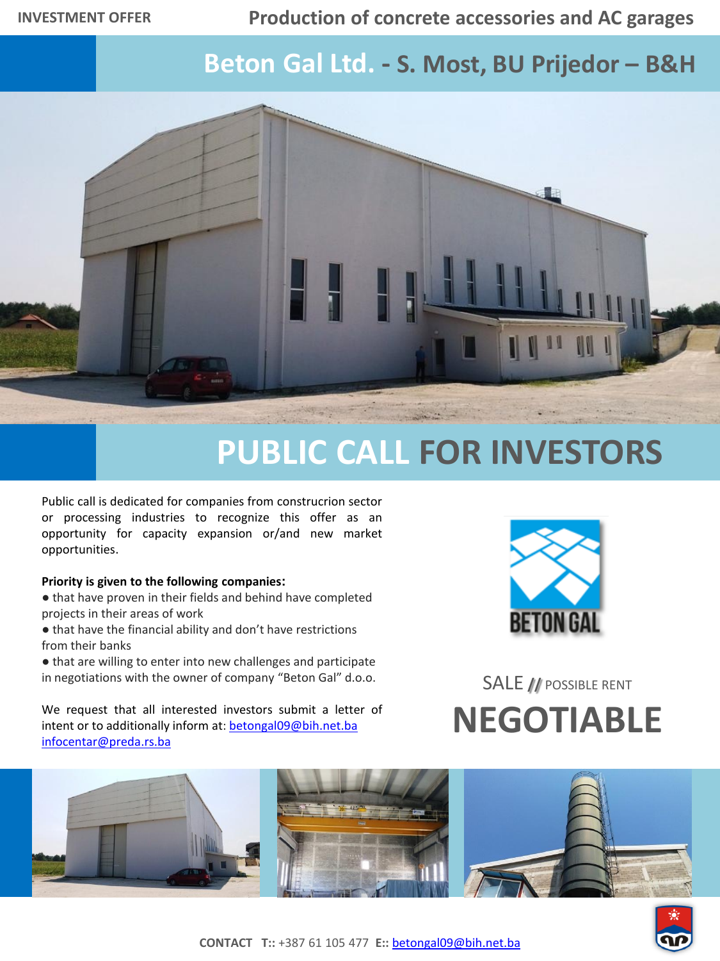## **Production of concrete accessories and AC garages**

## **Beton Gal Ltd. - S. Most, BU Prijedor – B&H**



## **PUBLIC CALL FOR INVESTORS**

Public call is dedicated for companies from construcrion sector or processing industries to recognize this offer as an opportunity for capacity expansion or/and new market opportunities.

## **Priority is given to the following companies:**

- that have proven in their fields and behind have completed projects in their areas of work
- that have the financial ability and don't have restrictions from their banks
- that are willing to enter into new challenges and participate in negotiations with the owner of company "Beton Gal" d.o.o.

We request that all interested investors submit a letter of intent or to additionally inform at: [betongal09@bih.net.ba](mailto:betongal09@bih.net.ba) [infocentar@preda.rs.ba](mailto:infocentar@preda.rs.ba)



SALE **//** POSSIBLE RENT **NEGOTIABLE**